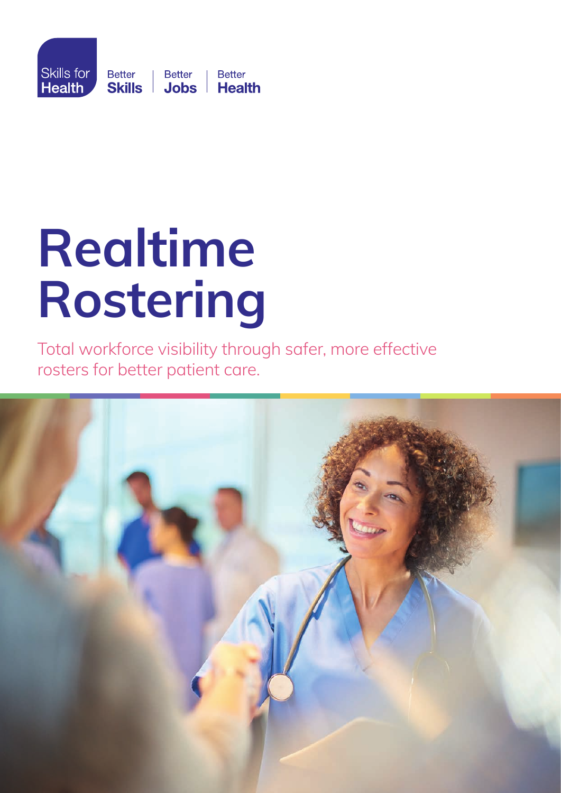

# **Realtime Rostering**

Total workforce visibility through safer, more effective rosters for better patient care.

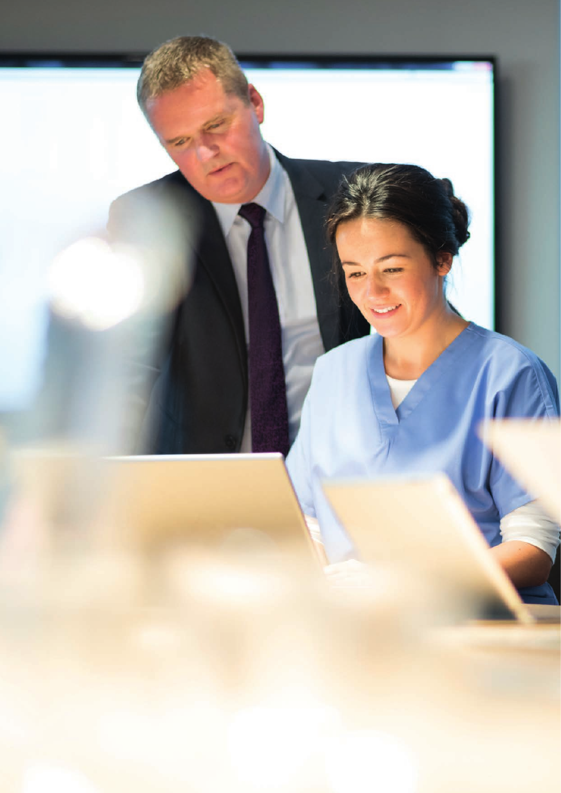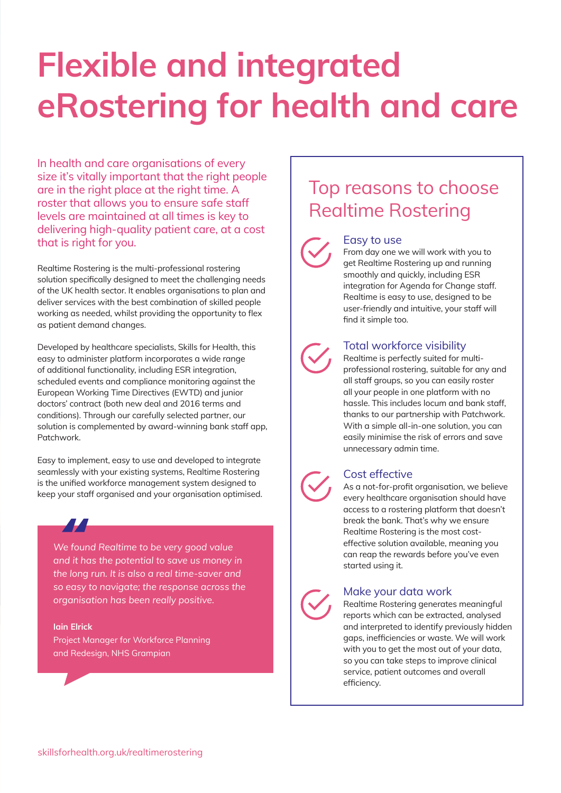## **Flexible and integrated eRostering for health and care**

In health and care organisations of every size it's vitally important that the right people are in the right place at the right time. A roster that allows you to ensure safe staff levels are maintained at all times is key to delivering high-quality patient care, at a cost that is right for you.

Realtime Rostering is the multi-professional rostering solution specifically designed to meet the challenging needs of the UK health sector. It enables organisations to plan and deliver services with the best combination of skilled people working as needed, whilst providing the opportunity to flex as patient demand changes.

Developed by healthcare specialists, Skills for Health, this easy to administer platform incorporates a wide range of additional functionality, including ESR integration, scheduled events and compliance monitoring against the European Working Time Directives (EWTD) and junior doctors' contract (both new deal and 2016 terms and conditions). Through our carefully selected partner, our solution is complemented by award-winning bank staff app, Patchwork.

Easy to implement, easy to use and developed to integrate seamlessly with your existing systems, Realtime Rostering is the unified workforce management system designed to keep your staff organised and your organisation optimised.

*We found Realtime to be very good value and it has the potential to save us money in the long run. It is also a real time-saver and so easy to navigate; the response across the organisation has been really positive.*

#### **Iain Elrick**

Project Manager for Workforce Planning and Redesign, NHS Grampian

### Top reasons to choose Realtime Rostering

### Easy to use

From day one we will work with you to get Realtime Rostering up and running smoothly and quickly, including ESR integration for Agenda for Change staff. Realtime is easy to use, designed to be user-friendly and intuitive, your staff will find it simple too.



### Total workforce visibility

Realtime is perfectly suited for multiprofessional rostering, suitable for any and all staff groups, so you can easily roster all your people in one platform with no hassle. This includes locum and bank staff, thanks to our partnership with Patchwork. With a simple all-in-one solution, you can easily minimise the risk of errors and save unnecessary admin time.



### Cost effective

As a not-for-profit organisation, we believe every healthcare organisation should have access to a rostering platform that doesn't break the bank. That's why we ensure Realtime Rostering is the most costeffective solution available, meaning you can reap the rewards before you've even started using it.



### Make your data work

Realtime Rostering generates meaningful reports which can be extracted, analysed and interpreted to identify previously hidden gaps, inefficiencies or waste. We will work with you to get the most out of your data, so you can take steps to improve clinical service, patient outcomes and overall efficiency.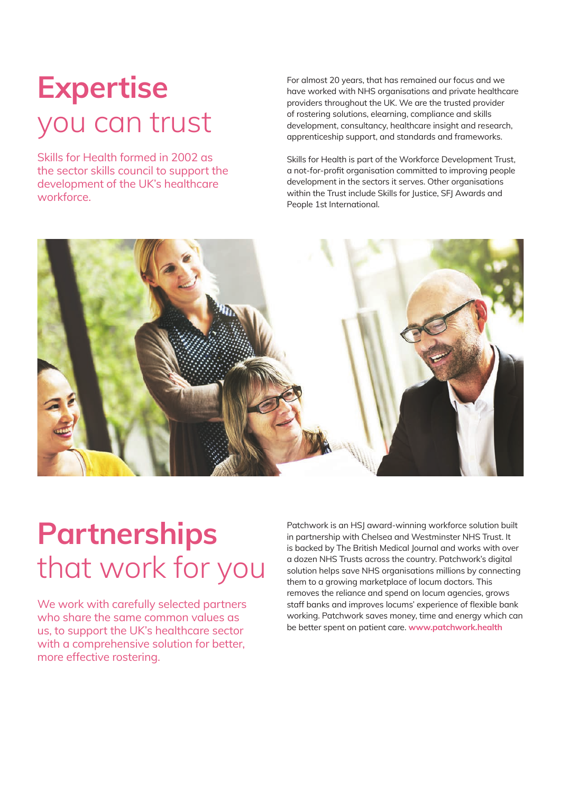### **Expertise**  you can trust

Skills for Health formed in 2002 as the sector skills council to support the development of the UK's healthcare workforce.

For almost 20 years, that has remained our focus and we have worked with NHS organisations and private healthcare providers throughout the UK. We are the trusted provider of rostering solutions, elearning, compliance and skills development, consultancy, healthcare insight and research, apprenticeship support, and standards and frameworks.

Skills for Health is part of the Workforce Development Trust, a not-for-profit organisation committed to improving people development in the sectors it serves. Other organisations within the Trust include Skills for Justice, SFJ Awards and People 1st International.



### **Partnerships** that work for you

We work with carefully selected partners who share the same common values as us, to support the UK's healthcare sector with a comprehensive solution for better. more effective rostering.

Patchwork is an HSJ award-winning workforce solution built in partnership with Chelsea and Westminster NHS Trust. It is backed by The British Medical Journal and works with over a dozen NHS Trusts across the country. Patchwork's digital solution helps save NHS organisations millions by connecting them to a growing marketplace of locum doctors. This removes the reliance and spend on locum agencies, grows staff banks and improves locums' experience of flexible bank working. Patchwork saves money, time and energy which can be better spent on patient care. **www.patchwork.health**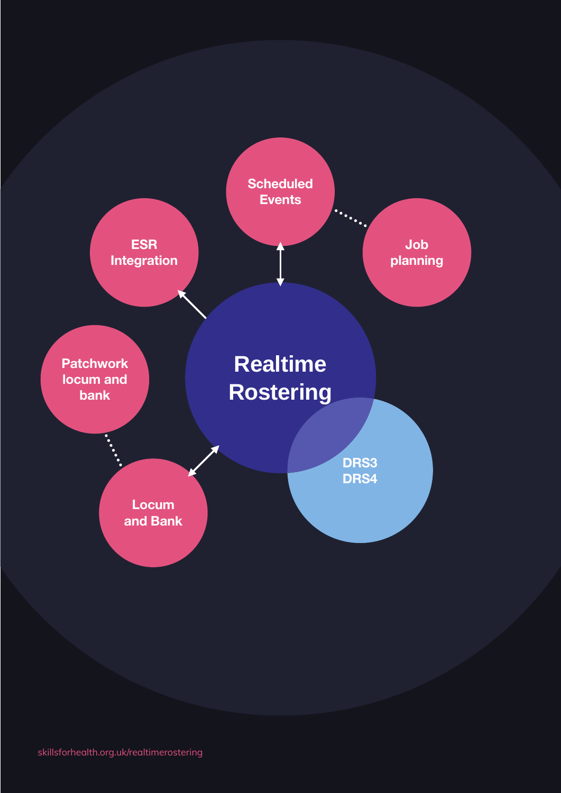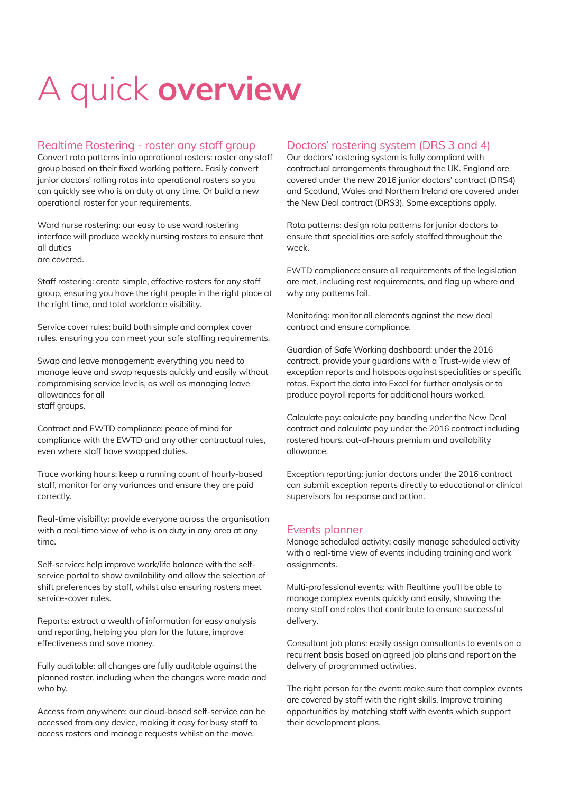# A quick **overview**

### Realtime Rostering - roster any staff group

Convert rota patterns into operational rosters: roster any staff group based on their fixed working pattern. Easily convert junior doctors' rolling rotas into operational rosters so you can quickly see who is on duty at any time. Or build a new operational roster for your requirements.

Ward nurse rostering: our easy to use ward rostering interface will produce weekly nursing rosters to ensure that all duties are covered.

Staff rostering: create simple, effective rosters for any staff group, ensuring you have the right people in the right place at

the right time, and total workforce visibility.

Service cover rules: build both simple and complex cover rules, ensuring you can meet your safe staffing requirements.

Swap and leave management: everything you need to manage leave and swap requests quickly and easily without compromising service levels, as well as managing leave allowances for all staff groups.

Contract and EWTD compliance: peace of mind for compliance with the EWTD and any other contractual rules, even where staff have swapped duties.

Trace working hours: keep a running count of hourly-based staff, monitor for any variances and ensure they are paid correctly.

Real-time visibility: provide everyone across the organisation with a real-time view of who is on duty in any area at any time.

Self-service: help improve work/life balance with the selfservice portal to show availability and allow the selection of shift preferences by staff, whilst also ensuring rosters meet service-cover rules.

Reports: extract a wealth of information for easy analysis and reporting, helping you plan for the future, improve effectiveness and save money.

Fully auditable: all changes are fully auditable against the planned roster, including when the changes were made and who by.

Access from anywhere: our cloud-based self-service can be accessed from any device, making it easy for busy staff to access rosters and manage requests whilst on the move.

### Doctors' rostering system (DRS 3 and 4)

Our doctors' rostering system is fully compliant with contractual arrangements throughout the UK. England are covered under the new 2016 junior doctors' contract (DRS4) and Scotland, Wales and Northern Ireland are covered under the New Deal contract (DRS3). Some exceptions apply.

Rota patterns: design rota patterns for junior doctors to ensure that specialities are safely staffed throughout the week.

EWTD compliance: ensure all requirements of the legislation are met, including rest requirements, and flag up where and why any patterns fail.

Monitoring: monitor all elements against the new deal contract and ensure compliance.

Guardian of Safe Working dashboard: under the 2016 contract, provide your guardians with a Trust-wide view of exception reports and hotspots against specialities or specific rotas. Export the data into Excel for further analysis or to produce payroll reports for additional hours worked.

Calculate pay: calculate pay banding under the New Deal contract and calculate pay under the 2016 contract including rostered hours, out-of-hours premium and availability allowance.

Exception reporting: junior doctors under the 2016 contract can submit exception reports directly to educational or clinical supervisors for response and action.

### Events planner

Manage scheduled activity: easily manage scheduled activity with a real-time view of events including training and work assignments.

Multi-professional events: with Realtime you'll be able to manage complex events quickly and easily, showing the many staff and roles that contribute to ensure successful delivery.

Consultant job plans: easily assign consultants to events on a recurrent basis based on agreed job plans and report on the delivery of programmed activities.

The right person for the event: make sure that complex events are covered by staff with the right skills. Improve training opportunities by matching staff with events which support their development plans.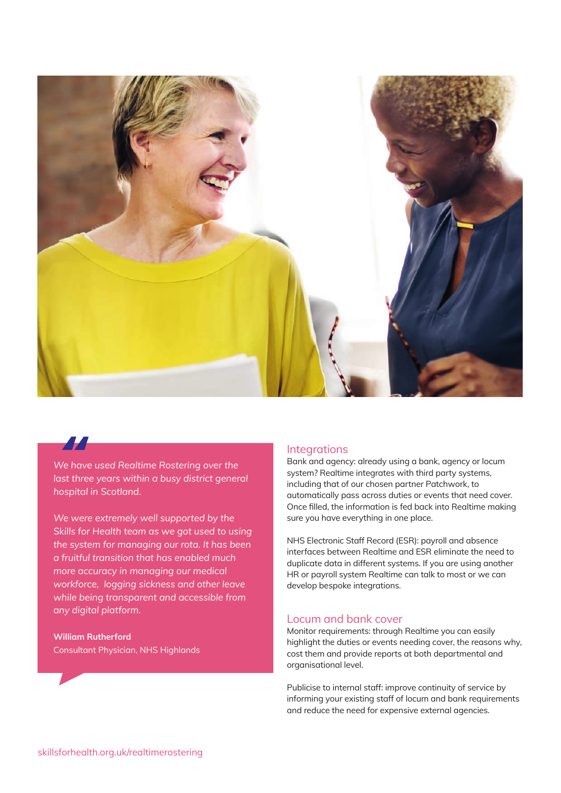

*We have used Realtime Rostering over the last three years within a busy district general hospital in Scotland.* 

 $\boldsymbol{H}$ 

*We were extremely well supported by the Skills for Health team as we got used to using the system for managing our rota. It has been a fruitful transition that has enabled much more accuracy in managing our medical workforce, logging sickness and other leave while being transparent and accessible from any digital platform.*

#### **William Rutherford** Consultant Physician, NHS Highlands

#### **Integrations**

Bank and agency: already using a bank, agency or locum system? Realtime integrates with third party systems, including that of our chosen partner Patchwork, to automatically pass across duties or events that need cover. Once filled, the information is fed back into Realtime making sure you have everything in one place.

NHS Electronic Staff Record (ESR): payroll and absence interfaces between Realtime and ESR eliminate the need to duplicate data in different systems. If you are using another HR or payroll system Realtime can talk to most or we can develop bespoke integrations.

#### Locum and bank cover

Monitor requirements: through Realtime you can easily highlight the duties or events needing cover, the reasons why, cost them and provide reports at both departmental and organisational level.

Publicise to internal staff: improve continuity of service by informing your existing staff of locum and bank requirements and reduce the need for expensive external agencies.